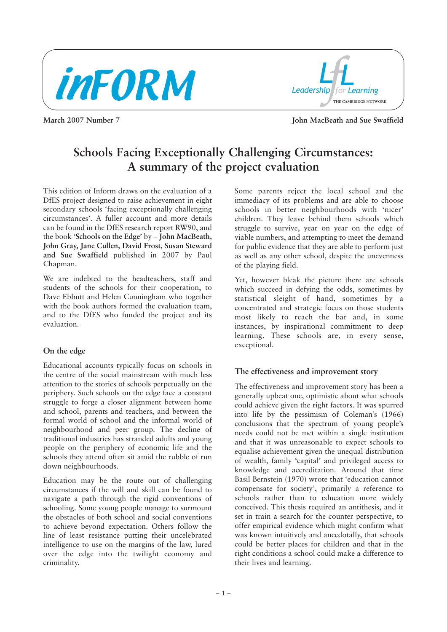



**March 2007 Number 7 John MacBeath and Sue Swaffield** 

# **Schools Facing Exceptionally Challenging Circumstances: A summary of the project evaluation**

This edition of Inform draws on the evaluation of a DfES project designed to raise achievement in eight secondary schools 'facing exceptionally challenging circumstances'. A fuller account and more details can be found in the DfES research report RW90, and the book '**Schools on the Edge'** by – **John MacBeath, John Gray, Jane Cullen, David Frost, Susan Steward and Sue Swaffield** published in 2007 by Paul Chapman.

We are indebted to the headteachers, staff and students of the schools for their cooperation, to Dave Ebbutt and Helen Cunningham who together with the book authors formed the evaluation team, and to the DfES who funded the project and its evaluation.

#### **On the edge**

Educational accounts typically focus on schools in the centre of the social mainstream with much less attention to the stories of schools perpetually on the periphery. Such schools on the edge face a constant struggle to forge a closer alignment between home and school, parents and teachers, and between the formal world of school and the informal world of neighbourhood and peer group. The decline of traditional industries has stranded adults and young people on the periphery of economic life and the schools they attend often sit amid the rubble of run down neighbourhoods.

Education may be the route out of challenging circumstances if the will and skill can be found to navigate a path through the rigid conventions of schooling. Some young people manage to surmount the obstacles of both school and social conventions to achieve beyond expectation. Others follow the line of least resistance putting their uncelebrated intelligence to use on the margins of the law, lured over the edge into the twilight economy and criminality.

Some parents reject the local school and the immediacy of its problems and are able to choose schools in better neighbourhoods with 'nicer' children. They leave behind them schools which struggle to survive, year on year on the edge of viable numbers, and attempting to meet the demand for public evidence that they are able to perform just as well as any other school, despite the unevenness of the playing field.

Yet, however bleak the picture there are schools which succeed in defying the odds, sometimes by statistical sleight of hand, sometimes by a concentrated and strategic focus on those students most likely to reach the bar and, in some instances, by inspirational commitment to deep learning. These schools are, in every sense, exceptional.

## **The effectiveness and improvement story**

The effectiveness and improvement story has been a generally upbeat one, optimistic about what schools could achieve given the right factors. It was spurred into life by the pessimism of Coleman's (1966) conclusions that the spectrum of young people's needs could not be met within a single institution and that it was unreasonable to expect schools to equalise achievement given the unequal distribution of wealth, family 'capital' and privileged access to knowledge and accreditation. Around that time Basil Bernstein (1970) wrote that 'education cannot compensate for society', primarily a reference to schools rather than to education more widely conceived. This thesis required an antithesis, and it set in train a search for the counter perspective, to offer empirical evidence which might confirm what was known intuitively and anecdotally, that schools could be better places for children and that in the right conditions a school could make a difference to their lives and learning.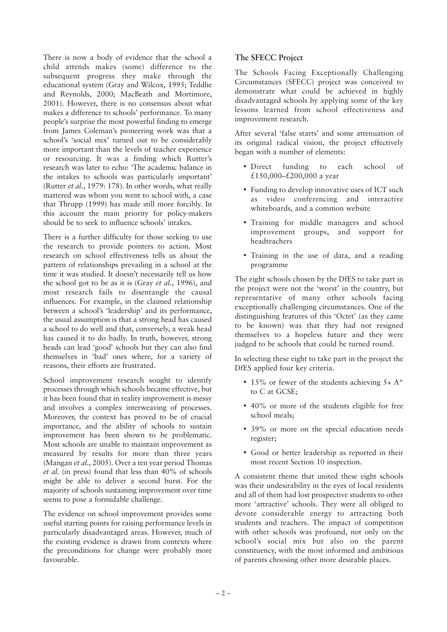There is now a body of evidence that the school a child attends makes (some) difference to the subsequent progress they make through the educational system (Gray and Wilcox, 1995; Teddlie and Reynolds, 2000; MacBeath and Mortimore, 2001). However, there is no consensus about what makes a difference to schools' performance. To many people's surprise the most powerful finding to emerge from James Coleman's pioneering work was that a school's 'social mix' turned out to be considerably more important than the levels of teacher experience or resourcing. It was a finding which Rutter's research was later to echo: 'The academic balance in the intakes to schools was particularly important' (Rutter *et al.*, 1979: 178). In other words, what really mattered was whom you went to school with, a case that Thrupp (1999) has made still more forcibly. In this account the main priority for policy-makers should be to seek to influence schools' intakes.

There is a further difficulty for those seeking to use the research to provide pointers to action. Most research on school effectiveness tells us about the pattern of relationships prevailing in a school at the time it was studied. It doesn't necessarily tell us how the school got to be as it is (Gray *et al.*, 1996), and most research fails to disentangle the causal influences. For example, in the claimed relationship between a school's 'leadership' and its performance, the usual assumption is that a strong head has caused a school to do well and that, conversely, a weak head has caused it to do badly. In truth, however, strong heads can lead 'good' schools but they can also find themselves in 'bad' ones where, for a variety of reasons, their efforts are frustrated.

School improvement research sought to identify processes through which schools became effective, but it has been found that in reality improvement is messy and involves a complex interweaving of processes. Moreover, the context has proved to be of crucial importance, and the ability of schools to sustain improvement has been shown to be problematic. Most schools are unable to maintain improvement as measured by results for more than three years (Mangan *et al.*, 2005). Over a ten year period Thomas *et al.* (in press) found that less than 40% of schools might be able to deliver a second burst. For the majority of schools sustaining improvement over time seems to pose a formidable challenge.

The evidence on school improvement provides some useful starting points for raising performance levels in particularly disadvantaged areas. However, much of the existing evidence is drawn from contexts where the preconditions for change were probably more favourable.

### **The SFECC Project**

The Schools Facing Exceptionally Challenging Circumstances (SFECC) project was conceived to demonstrate what could be achieved in highly disadvantaged schools by applying some of the key lessons learned from school effectiveness and improvement research.

After several 'false starts' and some attenuation of its original radical vision, the project effectively began with a number of elements:

- Direct funding to each school of £150,000–£200,000 a year
- Funding to develop innovative uses of ICT such as video conferencing and interactive whiteboards, and a common website
- Training for middle managers and school improvement groups, and support for headteachers
- Training in the use of data, and a reading programme

The eight schools chosen by the DfES to take part in the project were not the 'worst' in the country, but representative of many other schools facing exceptionally challenging circumstances. One of the distinguishing features of this 'Octet' (as they came to be known) was that they had not resigned themselves to a hopeless future and they were judged to be schools that could be turned round.

In selecting these eight to take part in the project the DfES applied four key criteria.

- 15% or fewer of the students achieving  $5+A^*$ to C at GCSE;
- 40% or more of the students eligible for free school meals;
- 39% or more on the special education needs register;
- Good or better leadership as reported in their most recent Section 10 inspection.

A consistent theme that united these eight schools was their undesirability in the eyes of local residents and all of them had lost prospective students to other more 'attractive' schools. They were all obliged to devote considerable energy to attracting both students and teachers. The impact of competition with other schools was profound, not only on the school's social mix but also on the parent constituency, with the most informed and ambitious of parents choosing other more desirable places.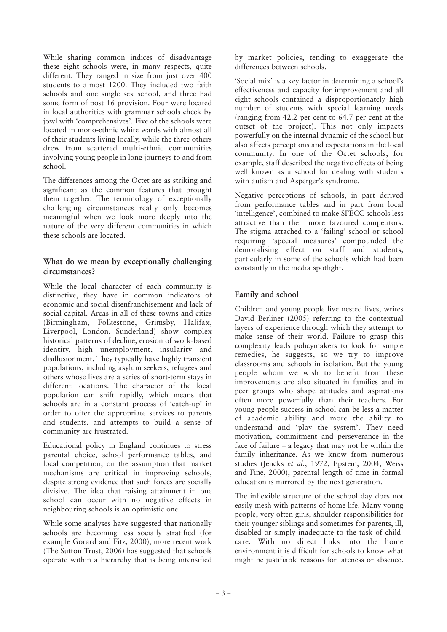While sharing common indices of disadvantage these eight schools were, in many respects, quite different. They ranged in size from just over 400 students to almost 1200. They included two faith schools and one single sex school, and three had some form of post 16 provision. Four were located in local authorities with grammar schools cheek by jowl with 'comprehensives'. Five of the schools were located in mono-ethnic white wards with almost all of their students living locally, while the three others drew from scattered multi-ethnic communities involving young people in long journeys to and from school.

The differences among the Octet are as striking and significant as the common features that brought them together. The terminology of exceptionally challenging circumstances really only becomes meaningful when we look more deeply into the nature of the very different communities in which these schools are located.

#### **What do we mean by exceptionally challenging circumstances?**

While the local character of each community is distinctive, they have in common indicators of economic and social disenfranchisement and lack of social capital. Areas in all of these towns and cities (Birmingham, Folkestone, Grimsby, Halifax, Liverpool, London, Sunderland) show complex historical patterns of decline, erosion of work-based identity, high unemployment, insularity and disillusionment. They typically have highly transient populations, including asylum seekers, refugees and others whose lives are a series of short-term stays in different locations. The character of the local population can shift rapidly, which means that schools are in a constant process of 'catch-up' in order to offer the appropriate services to parents and students, and attempts to build a sense of community are frustrated.

Educational policy in England continues to stress parental choice, school performance tables, and local competition, on the assumption that market mechanisms are critical in improving schools, despite strong evidence that such forces are socially divisive. The idea that raising attainment in one school can occur with no negative effects in neighbouring schools is an optimistic one.

While some analyses have suggested that nationally schools are becoming less socially stratified (for example Gorard and Fitz, 2000), more recent work (The Sutton Trust, 2006) has suggested that schools operate within a hierarchy that is being intensified

by market policies, tending to exaggerate the differences between schools.

'Social mix' is a key factor in determining a school's effectiveness and capacity for improvement and all eight schools contained a disproportionately high number of students with special learning needs (ranging from 42.2 per cent to 64.7 per cent at the outset of the project). This not only impacts powerfully on the internal dynamic of the school but also affects perceptions and expectations in the local community. In one of the Octet schools, for example, staff described the negative effects of being well known as a school for dealing with students with autism and Asperger's syndrome.

Negative perceptions of schools, in part derived from performance tables and in part from local 'intelligence', combined to make SFECC schools less attractive than their more favoured competitors. The stigma attached to a 'failing' school or school requiring 'special measures' compounded the demoralising effect on staff and students, particularly in some of the schools which had been constantly in the media spotlight.

## **Family and school**

Children and young people live nested lives, writes David Berliner (2005) referring to the contextual layers of experience through which they attempt to make sense of their world. Failure to grasp this complexity leads policymakers to look for simple remedies, he suggests, so we try to improve classrooms and schools in isolation. But the young people whom we wish to benefit from these improvements are also situated in families and in peer groups who shape attitudes and aspirations often more powerfully than their teachers. For young people success in school can be less a matter of academic ability and more the ability to understand and 'play the system'. They need motivation, commitment and perseverance in the face of failure – a legacy that may not be within the family inheritance. As we know from numerous studies (Jencks *et al.*, 1972, Epstein, 2004, Weiss and Fine, 2000), parental length of time in formal education is mirrored by the next generation.

The inflexible structure of the school day does not easily mesh with patterns of home life. Many young people, very often girls, shoulder responsibilities for their younger siblings and sometimes for parents, ill, disabled or simply inadequate to the task of childcare. With no direct links into the home environment it is difficult for schools to know what might be justifiable reasons for lateness or absence.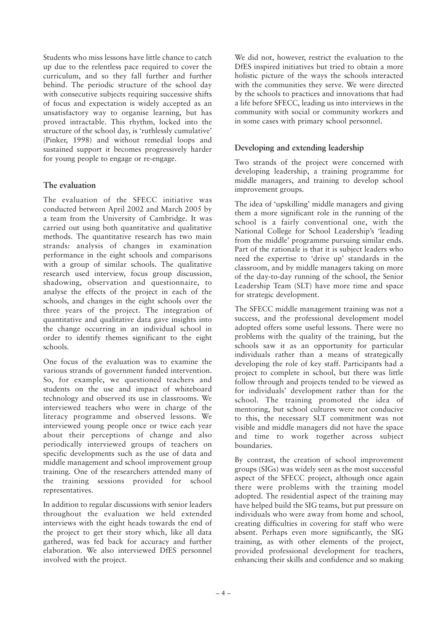Students who miss lessons have little chance to catch up due to the relentless pace required to cover the curriculum, and so they fall further and further behind. The periodic structure of the school day with consecutive subjects requiring successive shifts of focus and expectation is widely accepted as an unsatisfactory way to organise learning, but has proved intractable. This rhythm, locked into the structure of the school day, is 'ruthlessly cumulative' (Pinker, 1998) and without remedial loops and sustained support it becomes progressively harder for young people to engage or re-engage.

#### **The evaluation**

The evaluation of the SFECC initiative was conducted between April 2002 and March 2005 by a team from the University of Cambridge. It was carried out using both quantitative and qualitative methods. The quantitative research has two main strands: analysis of changes in examination performance in the eight schools and comparisons with a group of similar schools. The qualitative research used interview, focus group discussion, shadowing, observation and questionnaire, to analyse the effects of the project in each of the schools, and changes in the eight schools over the three years of the project. The integration of quantitative and qualitative data gave insights into the change occurring in an individual school in order to identify themes significant to the eight schools.

One focus of the evaluation was to examine the various strands of government funded intervention. So, for example, we questioned teachers and students on the use and impact of whiteboard technology and observed its use in classrooms. We interviewed teachers who were in charge of the literacy programme and observed lessons. We interviewed young people once or twice each year about their perceptions of change and also periodically interviewed groups of teachers on specific developments such as the use of data and middle management and school improvement group training. One of the researchers attended many of the training sessions provided for school representatives.

In addition to regular discussions with senior leaders throughout the evaluation we held extended interviews with the eight heads towards the end of the project to get their story which, like all data gathered, was fed back for accuracy and further elaboration. We also interviewed DfES personnel involved with the project.

We did not, however, restrict the evaluation to the DfES inspired initiatives but tried to obtain a more holistic picture of the ways the schools interacted with the communities they serve. We were directed by the schools to practices and innovations that had a life before SFECC, leading us into interviews in the community with social or community workers and in some cases with primary school personnel.

## **Developing and extending leadership**

Two strands of the project were concerned with developing leadership, a training programme for middle managers, and training to develop school improvement groups.

The idea of 'upskilling' middle managers and giving them a more significant role in the running of the school is a fairly conventional one, with the National College for School Leadership's 'leading from the middle' programme pursuing similar ends. Part of the rationale is that it is subject leaders who need the expertise to 'drive up' standards in the classroom, and by middle managers taking on more of the day-to-day running of the school, the Senior Leadership Team (SLT) have more time and space for strategic development.

The SFECC middle management training was not a success, and the professional development model adopted offers some useful lessons. There were no problems with the quality of the training, but the schools saw it as an opportunity for particular individuals rather than a means of strategically developing the role of key staff. Participants had a project to complete in school, but there was little follow through and projects tended to be viewed as for individuals' development rather than for the school. The training promoted the idea of mentoring, but school cultures were not conducive to this, the necessary SLT commitment was not visible and middle managers did not have the space and time to work together across subject boundaries.

By contrast, the creation of school improvement groups (SIGs) was widely seen as the most successful aspect of the SFECC project, although once again there were problems with the training model adopted. The residential aspect of the training may have helped build the SIG teams, but put pressure on individuals who were away from home and school, creating difficulties in covering for staff who were absent. Perhaps even more significantly, the SIG training, as with other elements of the project, provided professional development for teachers, enhancing their skills and confidence and so making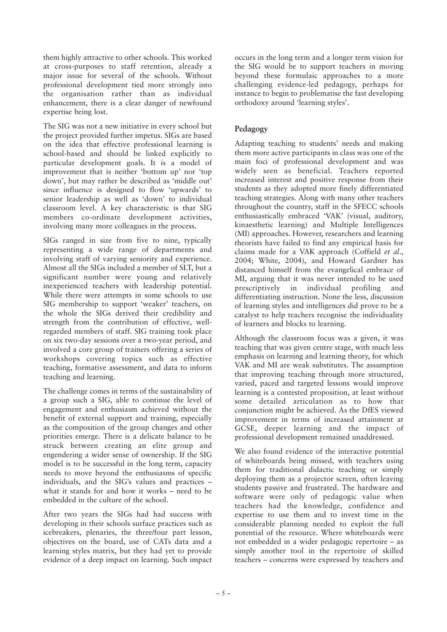them highly attractive to other schools. This worked at cross-purposes to staff retention, already a major issue for several of the schools. Without professional development tied more strongly into the organisation rather than as individual enhancement, there is a clear danger of newfound expertise being lost.

The SIG was not a new initiative in every school but the project provided further impetus. SIGs are based on the idea that effective professional learning is school-based and should be linked explicitly to particular development goals. It is a model of improvement that is neither 'bottom up' nor 'top down', but may rather be described as 'middle out' since influence is designed to flow 'upwards' to senior leadership as well as 'down' to individual classroom level. A key characteristic is that SIG members co-ordinate development activities, involving many more colleagues in the process.

SIGs ranged in size from five to nine, typically representing a wide range of departments and involving staff of varying seniority and experience. Almost all the SIGs included a member of SLT, but a significant number were young and relatively inexperienced teachers with leadership potential. While there were attempts in some schools to use SIG membership to support 'weaker' teachers, on the whole the SIGs derived their credibility and strength from the contribution of effective, wellregarded members of staff. SIG training took place on six two-day sessions over a two-year period, and involved a core group of trainers offering a series of workshops covering topics such as effective teaching, formative assessment, and data to inform teaching and learning.

The challenge comes in terms of the sustainability of a group such a SIG, able to continue the level of engagement and enthusiasm achieved without the benefit of external support and training, especially as the composition of the group changes and other priorities emerge. There is a delicate balance to be struck between creating an elite group and engendering a wider sense of ownership. If the SIG model is to be successful in the long term, capacity needs to move beyond the enthusiasms of specific individuals, and the SIG's values and practices – what it stands for and how it works – need to be embedded in the culture of the school.

After two years the SIGs had had success with developing in their schools surface practices such as icebreakers, plenaries, the three/four part lesson, objectives on the board, use of CATs data and a learning styles matrix, but they had yet to provide evidence of a deep impact on learning. Such impact occurs in the long term and a longer term vision for the SIG would be to support teachers in moving beyond these formulaic approaches to a more challenging evidence-led pedagogy, perhaps for instance to begin to problematise the fast developing orthodoxy around 'learning styles'.

## **Pedagogy**

Adapting teaching to students' needs and making them more active participants in class was one of the main foci of professional development and was widely seen as beneficial. Teachers reported increased interest and positive response from their students as they adopted more finely differentiated teaching strategies. Along with many other teachers throughout the country, staff in the SFECC schools enthusiastically embraced 'VAK' (visual, auditory, kinaesthetic learning) and Multiple Intelligences (MI) approaches. However, researchers and learning theorists have failed to find any empirical basis for claims made for a VAK approach (Coffield *et al*., 2004; White, 2004), and Howard Gardner has distanced himself from the evangelical embrace of MI, arguing that it was never intended to be used prescriptively in individual profiling and differentiating instruction. None the less, discussion of learning styles and intelligences did prove to be a catalyst to help teachers recognise the individuality of learners and blocks to learning.

Although the classroom focus was a given, it was teaching that was given centre stage, with much less emphasis on learning and learning theory, for which VAK and MI are weak substitutes. The assumption that improving teaching through more structured, varied, paced and targeted lessons would improve learning is a contested proposition, at least without some detailed articulation as to how that conjunction might be achieved. As the DfES viewed improvement in terms of increased attainment at GCSE, deeper learning and the impact of professional development remained unaddressed.

We also found evidence of the interactive potential of whiteboards being missed, with teachers using them for traditional didactic teaching or simply deploying them as a projector screen, often leaving students passive and frustrated. The hardware and software were only of pedagogic value when teachers had the knowledge, confidence and expertise to use them and to invest time in the considerable planning needed to exploit the full potential of the resource. Where whiteboards were not embedded in a wider pedagogic repertoire – as simply another tool in the repertoire of skilled teachers – concerns were expressed by teachers and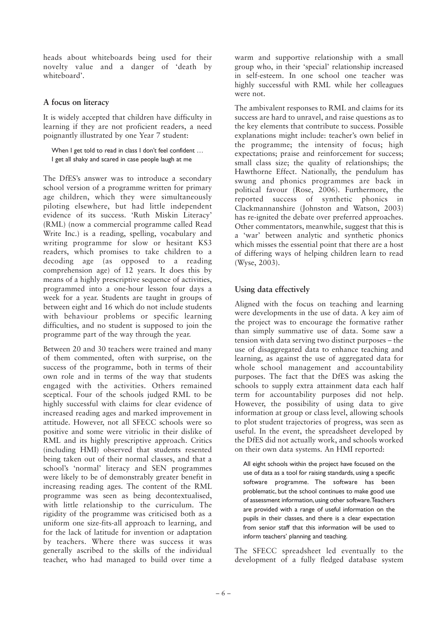heads about whiteboards being used for their novelty value and a danger of 'death by whiteboard'.

#### **A focus on literacy**

It is widely accepted that children have difficulty in learning if they are not proficient readers, a need poignantly illustrated by one Year 7 student:

When I get told to read in class I don't feel confident ... I get all shaky and scared in case people laugh at me

The DfES's answer was to introduce a secondary school version of a programme written for primary age children, which they were simultaneously piloting elsewhere, but had little independent evidence of its success. 'Ruth Miskin Literacy' (RML) (now a commercial programme called Read Write Inc.) is a reading, spelling, vocabulary and writing programme for slow or hesitant KS3 readers, which promises to take children to a decoding age (as opposed to a reading comprehension age) of 12 years. It does this by means of a highly prescriptive sequence of activities, programmed into a one-hour lesson four days a week for a year. Students are taught in groups of between eight and 16 which do not include students with behaviour problems or specific learning difficulties, and no student is supposed to join the programme part of the way through the year.

Between 20 and 30 teachers were trained and many of them commented, often with surprise, on the success of the programme, both in terms of their own role and in terms of the way that students engaged with the activities. Others remained sceptical. Four of the schools judged RML to be highly successful with claims for clear evidence of increased reading ages and marked improvement in attitude. However, not all SFECC schools were so positive and some were vitriolic in their dislike of RML and its highly prescriptive approach. Critics (including HMI) observed that students resented being taken out of their normal classes, and that a school's 'normal' literacy and SEN programmes were likely to be of demonstrably greater benefit in increasing reading ages. The content of the RML programme was seen as being decontextualised, with little relationship to the curriculum. The rigidity of the programme was criticised both as a uniform one size-fits-all approach to learning, and for the lack of latitude for invention or adaptation by teachers. Where there was success it was generally ascribed to the skills of the individual teacher, who had managed to build over time a

warm and supportive relationship with a small group who, in their 'special' relationship increased in self-esteem. In one school one teacher was highly successful with RML while her colleagues were not.

The ambivalent responses to RML and claims for its success are hard to unravel, and raise questions as to the key elements that contribute to success. Possible explanations might include: teacher's own belief in the programme; the intensity of focus; high expectations; praise and reinforcement for success; small class size; the quality of relationships; the Hawthorne Effect. Nationally, the pendulum has swung and phonics programmes are back in political favour (Rose, 2006). Furthermore, the reported success of synthetic phonics in Clackmannanshire (Johnston and Watson, 2003) has re-ignited the debate over preferred approaches. Other commentators, meanwhile, suggest that this is a 'war' between analytic and synthetic phonics which misses the essential point that there are a host of differing ways of helping children learn to read (Wyse, 2003).

## **Using data effectively**

Aligned with the focus on teaching and learning were developments in the use of data. A key aim of the project was to encourage the formative rather than simply summative use of data. Some saw a tension with data serving two distinct purposes – the use of disaggregated data to enhance teaching and learning, as against the use of aggregated data for whole school management and accountability purposes. The fact that the DfES was asking the schools to supply extra attainment data each half term for accountability purposes did not help. However, the possibility of using data to give information at group or class level, allowing schools to plot student trajectories of progress, was seen as useful. In the event, the spreadsheet developed by the DfES did not actually work, and schools worked on their own data systems. An HMI reported:

All eight schools within the project have focused on the use of data as a tool for raising standards, using a specific software programme. The software has been problematic, but the school continues to make good use of assessment information,using other software.Teachers are provided with a range of useful information on the pupils in their classes, and there is a clear expectation from senior staff that this information will be used to inform teachers' planning and teaching.

The SFECC spreadsheet led eventually to the development of a fully fledged database system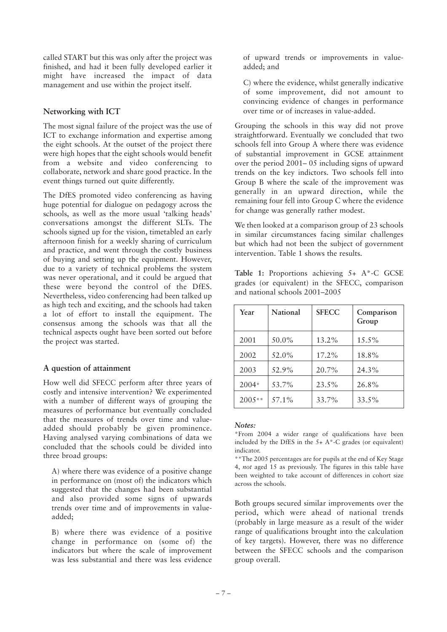called START but this was only after the project was finished, and had it been fully developed earlier it might have increased the impact of data management and use within the project itself.

#### **Networking with ICT**

The most signal failure of the project was the use of ICT to exchange information and expertise among the eight schools. At the outset of the project there were high hopes that the eight schools would benefit from a website and video conferencing to collaborate, network and share good practice. In the event things turned out quite differently.

The DfES promoted video conferencing as having huge potential for dialogue on pedagogy across the schools, as well as the more usual 'talking heads' conversations amongst the different SLTs. The schools signed up for the vision, timetabled an early afternoon finish for a weekly sharing of curriculum and practice, and went through the costly business of buying and setting up the equipment. However, due to a variety of technical problems the system was never operational, and it could be argued that these were beyond the control of the DfES. Nevertheless, video conferencing had been talked up as high tech and exciting, and the schools had taken a lot of effort to install the equipment. The consensus among the schools was that all the technical aspects ought have been sorted out before the project was started.

#### **A question of attainment**

How well did SFECC perform after three years of costly and intensive intervention? We experimented with a number of different ways of grouping the measures of performance but eventually concluded that the measures of trends over time and valueadded should probably be given prominence. Having analysed varying combinations of data we concluded that the schools could be divided into three broad groups:

A) where there was evidence of a positive change in performance on (most of) the indicators which suggested that the changes had been substantial and also provided some signs of upwards trends over time and of improvements in valueadded;

B) where there was evidence of a positive change in performance on (some of) the indicators but where the scale of improvement was less substantial and there was less evidence of upward trends or improvements in valueadded; and

C) where the evidence, whilst generally indicative of some improvement, did not amount to convincing evidence of changes in performance over time or of increases in value-added.

Grouping the schools in this way did not prove straightforward. Eventually we concluded that two schools fell into Group A where there was evidence of substantial improvement in GCSE attainment over the period 2001– 05 including signs of upward trends on the key indictors. Two schools fell into Group B where the scale of the improvement was generally in an upward direction, while the remaining four fell into Group C where the evidence for change was generally rather modest.

We then looked at a comparison group of 23 schools in similar circumstances facing similar challenges but which had not been the subject of government intervention. Table 1 shows the results.

**Table 1:** Proportions achieving 5+ A\*-C GCSE grades (or equivalent) in the SFECC, comparison and national schools 2001–2005

| Year     | <b>National</b> | <b>SFECC</b> | Comparison<br>Group |
|----------|-----------------|--------------|---------------------|
| 2001     | 50.0%           | 13.2%        | $15.5\%$            |
| 2002     | 52.0%           | 17.2%        | 18.8%               |
| 2003     | 52.9%           | $20.7\%$     | 24.3%               |
| $2004*$  | 53.7%           | 23.5%        | 26.8%               |
| $2005**$ | 57.1%           | 33.7%        | 33.5%               |

#### *Notes:*

\*From 2004 a wider range of qualifications have been included by the DfES in the  $5+ A^*$ -C grades (or equivalent) indicator.

\*\*The 2005 percentages are for pupils at the end of Key Stage 4, *not* aged 15 as previously. The figures in this table have been weighted to take account of differences in cohort size across the schools.

Both groups secured similar improvements over the period, which were ahead of national trends (probably in large measure as a result of the wider range of qualifications brought into the calculation of key targets). However, there was no difference between the SFECC schools and the comparison group overall.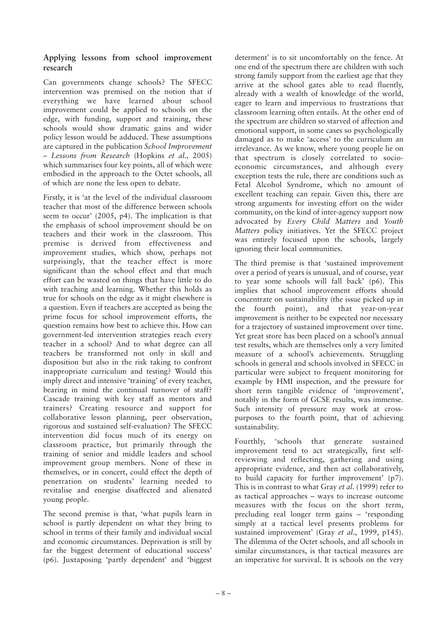#### **Applying lessons from school improvement research**

Can governments change schools? The SFECC intervention was premised on the notion that if everything we have learned about school improvement could be applied to schools on the edge, with funding, support and training, these schools would show dramatic gains and wider policy lesson would be adduced. These assumptions are captured in the publication *School Improvement – Lessons from Research* (Hopkins *et al.,* 2005) which summarises four key points, all of which were embodied in the approach to the Octet schools, all of which are none the less open to debate.

Firstly, it is 'at the level of the individual classroom teacher that most of the difference between schools seem to occur' (2005, p4). The implication is that the emphasis of school improvement should be on teachers and their work in the classroom. This premise is derived from effectiveness and improvement studies, which show, perhaps not surprisingly, that the teacher effect is more significant than the school effect and that much effort can be wasted on things that have little to do with teaching and learning. Whether this holds as true for schools on the edge as it might elsewhere is a question. Even if teachers are accepted as being the prime focus for school improvement efforts, the question remains how best to achieve this. How can government-led intervention strategies reach every teacher in a school? And to what degree can all teachers be transformed not only in skill and disposition but also in the risk taking to confront inappropriate curriculum and testing? Would this imply direct and intensive 'training' of every teacher, bearing in mind the continual turnover of staff? Cascade training with key staff as mentors and trainers? Creating resource and support for collaborative lesson planning, peer observation, rigorous and sustained self-evaluation? The SFECC intervention did focus much of its energy on classroom practice, but primarily through the training of senior and middle leaders and school improvement group members. None of these in themselves, or in concert, could effect the depth of penetration on students' learning needed to revitalise and energise disaffected and alienated young people.

The second premise is that, 'what pupils learn in school is partly dependent on what they bring to school in terms of their family and individual social and economic circumstances. Deprivation is still by far the biggest determent of educational success' (p6). Juxtaposing 'partly dependent' and 'biggest

determent' is to sit uncomfortably on the fence. At one end of the spectrum there are children with such strong family support from the earliest age that they arrive at the school gates able to read fluently, already with a wealth of knowledge of the world, eager to learn and impervious to frustrations that classroom learning often entails. At the other end of the spectrum are children so starved of affection and emotional support, in some cases so psychologically damaged as to make 'access' to the curriculum an irrelevance. As we know, where young people lie on that spectrum is closely correlated to socioeconomic circumstances, and although every exception tests the rule, there are conditions such as Fetal Alcohol Syndrome, which no amount of excellent teaching can repair. Given this, there are strong arguments for investing effort on the wider community, on the kind of inter-agency support now advocated by *Every Child Matters* and *Youth Matters* policy initiatives. Yet the SFECC project was entirely focused upon the schools, largely ignoring their local communities.

The third premise is that 'sustained improvement over a period of years is unusual, and of course, year to year some schools will fall back' (p6). This implies that school improvement efforts should concentrate on sustainability (the issue picked up in the fourth point), and that year-on-year improvement is neither to be expected nor necessary for a trajectory of sustained improvement over time. Yet great store has been placed on a school's annual test results, which are themselves only a very limited measure of a school's achievements. Struggling schools in general and schools involved in SFECC in particular were subject to frequent monitoring for example by HMI inspection, and the pressure for short term tangible evidence of 'improvement', notably in the form of GCSE results, was immense. Such intensity of pressure may work at crosspurposes to the fourth point, that of achieving sustainability.

Fourthly, 'schools that generate sustained improvement tend to act strategically, first selfreviewing and reflecting, gathering and using appropriate evidence, and then act collaboratively, to build capacity for further improvement' (p7). This is in contrast to what Gray *et al.* (1999) refer to as tactical approaches – ways to increase outcome measures with the focus on the short term, precluding real longer term gains – 'responding simply at a tactical level presents problems for sustained improvement' (Gray *et al*., 1999, p145). The dilemma of the Octet schools, and all schools in similar circumstances, is that tactical measures are an imperative for survival. It is schools on the very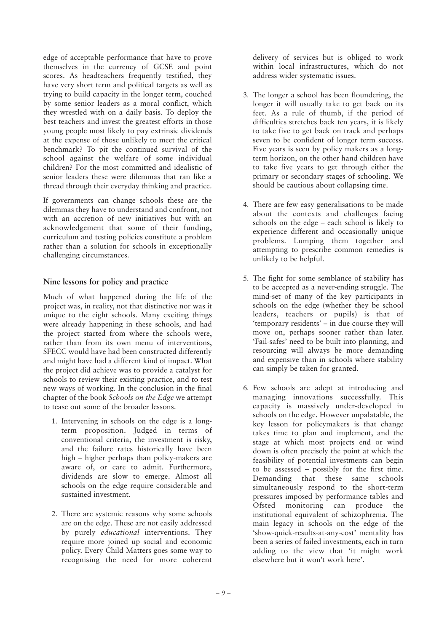edge of acceptable performance that have to prove themselves in the currency of GCSE and point scores. As headteachers frequently testified, they have very short term and political targets as well as trying to build capacity in the longer term, couched by some senior leaders as a moral conflict, which they wrestled with on a daily basis. To deploy the best teachers and invest the greatest efforts in those young people most likely to pay extrinsic dividends at the expense of those unlikely to meet the critical benchmark? To pit the continued survival of the school against the welfare of some individual children? For the most committed and idealistic of senior leaders these were dilemmas that ran like a thread through their everyday thinking and practice.

If governments can change schools these are the dilemmas they have to understand and confront, not with an accretion of new initiatives but with an acknowledgement that some of their funding, curriculum and testing policies constitute a problem rather than a solution for schools in exceptionally challenging circumstances.

## **Nine lessons for policy and practice**

Much of what happened during the life of the project was, in reality, not that distinctive nor was it unique to the eight schools. Many exciting things were already happening in these schools, and had the project started from where the schools were, rather than from its own menu of interventions, SFECC would have had been constructed differently and might have had a different kind of impact. What the project did achieve was to provide a catalyst for schools to review their existing practice, and to test new ways of working. In the conclusion in the final chapter of the book *Schools on the Edge* we attempt to tease out some of the broader lessons.

- 1. Intervening in schools on the edge is a longterm proposition. Judged in terms of conventional criteria, the investment is risky, and the failure rates historically have been high – higher perhaps than policy-makers are aware of, or care to admit. Furthermore, dividends are slow to emerge. Almost all schools on the edge require considerable and sustained investment.
- 2. There are systemic reasons why some schools are on the edge. These are not easily addressed by purely *educational* interventions. They require more joined up social and economic policy. Every Child Matters goes some way to recognising the need for more coherent

delivery of services but is obliged to work within local infrastructures, which do not address wider systematic issues.

- 3. The longer a school has been floundering, the longer it will usually take to get back on its feet. As a rule of thumb, if the period of difficulties stretches back ten years, it is likely to take five to get back on track and perhaps seven to be confident of longer term success. Five years is seen by policy makers as a longterm horizon, on the other hand children have to take five years to get through either the primary or secondary stages of schooling. We should be cautious about collapsing time.
- 4. There are few easy generalisations to be made about the contexts and challenges facing schools on the edge – each school is likely to experience different and occasionally unique problems. Lumping them together and attempting to prescribe common remedies is unlikely to be helpful.
- 5. The fight for some semblance of stability has to be accepted as a never-ending struggle. The mind-set of many of the key participants in schools on the edge (whether they be school leaders, teachers or pupils) is that of 'temporary residents' – in due course they will move on, perhaps sooner rather than later. 'Fail-safes' need to be built into planning, and resourcing will always be more demanding and expensive than in schools where stability can simply be taken for granted.
- 6. Few schools are adept at introducing and managing innovations successfully. This capacity is massively under-developed in schools on the edge. However unpalatable, the key lesson for policymakers is that change takes time to plan and implement, and the stage at which most projects end or wind down is often precisely the point at which the feasibility of potential investments can begin to be assessed – possibly for the first time. Demanding that these same schools simultaneously respond to the short-term pressures imposed by performance tables and Ofsted monitoring can produce the institutional equivalent of schizophrenia. The main legacy in schools on the edge of the 'show-quick-results-at-any-cost' mentality has been a series of failed investments, each in turn adding to the view that 'it might work elsewhere but it won't work here'.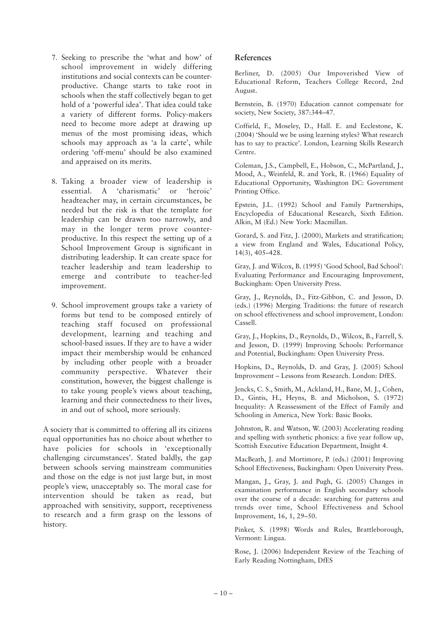- 7. Seeking to prescribe the 'what and how' of school improvement in widely differing institutions and social contexts can be counterproductive. Change starts to take root in schools when the staff collectively began to get hold of a 'powerful idea'. That idea could take a variety of different forms. Policy-makers need to become more adept at drawing up menus of the most promising ideas, which schools may approach as 'a la carte', while ordering 'off-menu' should be also examined and appraised on its merits.
- 8. Taking a broader view of leadership is essential. A 'charismatic' or 'heroic' headteacher may, in certain circumstances, be needed but the risk is that the template for leadership can be drawn too narrowly, and may in the longer term prove counterproductive. In this respect the setting up of a School Improvement Group is significant in distributing leadership. It can create space for teacher leadership and team leadership to emerge and contribute to teacher-led improvement.
- 9. School improvement groups take a variety of forms but tend to be composed entirely of teaching staff focused on professional development, learning and teaching and school-based issues. If they are to have a wider impact their membership would be enhanced by including other people with a broader community perspective. Whatever their constitution, however, the biggest challenge is to take young people's views about teaching, learning and their connectedness to their lives, in and out of school, more seriously.

A society that is committed to offering all its citizens equal opportunities has no choice about whether to have policies for schools in 'exceptionally challenging circumstances'. Stated baldly, the gap between schools serving mainstream communities and those on the edge is not just large but, in most people's view, unacceptably so. The moral case for intervention should be taken as read, but approached with sensitivity, support, receptiveness to research and a firm grasp on the lessons of history.

#### **References**

Berliner, D. (2005) Our Impoverished View of Educational Reform, Teachers College Record, 2nd August.

Bernstein, B. (1970) Education cannot compensate for society, New Society, 387:344–47.

Coffield, F., Moseley, D., Hall. E. and Ecclestone, K. (2004) 'Should we be using learning styles? What research has to say to practice'. London, Learning Skills Research Centre.

Coleman, J.S., Campbell, E., Hobson, C., McPartland, J., Mood, A., Weinfeld, R. and York, R. (1966) Equality of Educational Opportunity, Washington DC: Government Printing Office.

Epstein, J.L. (1992) School and Family Partnerships, Encyclopedia of Educational Research, Sixth Edition. Alkin, M (Ed.) New York: Macmillan.

Gorard, S. and Fitz, J. (2000), Markets and stratification; a view from England and Wales, Educational Policy, 14(3), 405–428.

Gray, J. and Wilcox, B. (1995) 'Good School, Bad School': Evaluating Performance and Encouraging Improvement, Buckingham: Open University Press.

Gray, J., Reynolds, D., Fitz-Gibbon, C. and Jesson, D. (eds.) (1996) Merging Traditions: the future of research on school effectiveness and school improvement, London: Cassell.

Gray, J., Hopkins, D., Reynolds, D., Wilcox, B., Farrell, S. and Jesson, D. (1999) Improving Schools: Performance and Potential, Buckingham: Open University Press.

Hopkins, D., Reynolds, D. and Gray, J. (2005) School Improvement – Lessons from Research. London: DfES.

Jencks, C. S., Smith, M., Ackland, H., Bane, M. J., Cohen, D., Gintis, H., Heyns, B. and Micholson, S. (1972) Inequality: A Reassessment of the Effect of Family and Schooling in America, New York: Basic Books.

Johnston, R. and Watson, W. (2003) Accelerating reading and spelling with synthetic phonics: a five year follow up, Scottish Executive Education Department, Insight 4.

MacBeath, J. and Mortimore, P. (eds.) (2001) Improving School Effectiveness, Buckingham: Open University Press.

Mangan, J., Gray, J. and Pugh, G. (2005) Changes in examination performance in English secondary schools over the course of a decade: searching for patterns and trends over time, School Effectiveness and School Improvement, 16, 1, 29–50.

Pinker, S. (1998) Words and Rules, Brattleborough, Vermont: Lingua.

Rose, J. (2006) Independent Review of the Teaching of Early Reading Nottingham, DfES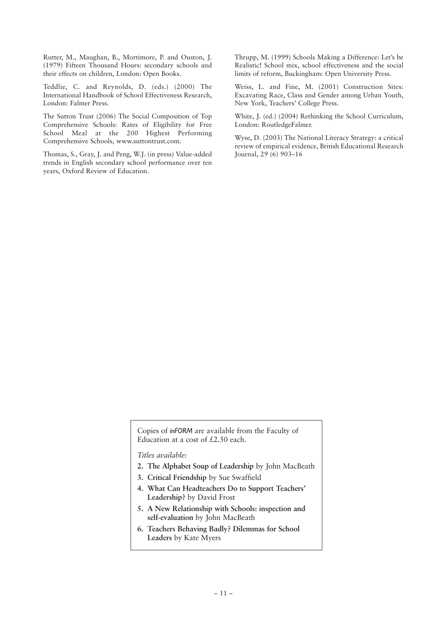Rutter, M., Maughan, B., Mortimore, P. and Ouston, J. (1979) Fifteen Thousand Hours: secondary schools and their effects on children, London: Open Books.

Teddlie, C. and Reynolds, D. (eds.) (2000) The International Handbook of School Effectiveness Research, London: Falmer Press.

The Sutton Trust (2006) The Social Composition of Top Comprehensive Schools: Rates of Eligibility for Free School Meal at the 200 Highest Performing Comprehensive Schools, www.suttontrust.com.

Thomas, S., Gray, J. and Peng, W.J. (in press) Value-added trends in English secondary school performance over ten years, Oxford Review of Education.

Thrupp, M. (1999) Schools Making a Difference: Let's be Realistic! School mix, school effectiveness and the social limits of reform, Buckingham: Open University Press.

Weiss, L. and Fine, M. (2001) Construction Sites: Excavating Race, Class and Gender among Urban Youth, New York, Teachers' College Press.

White, J. (ed.) (2004) Rethinking the School Curriculum, London: RoutledgeFalmer.

Wyse, D. (2003) The National Literacy Strategy: a critical review of empirical evidence, British Educational Research Journal, 29 (6) 903–16

Copies of *inFORM* are available from the Faculty of Education at a cost of £2.50 each.

*Titles available:*

- **2. The Alphabet Soup of Leadership** by John MacBeath
- **3. Critical Friendship** by Sue Swaffield
- **4. What Can Headteachers Do to Support Teachers' Leadership?** by David Frost
- **5. A New Relationship with Schools: inspection and self-evaluation** by John MacBeath
- **6. Teachers Behaving Badly? Dilemmas for School Leaders** by Kate Myers